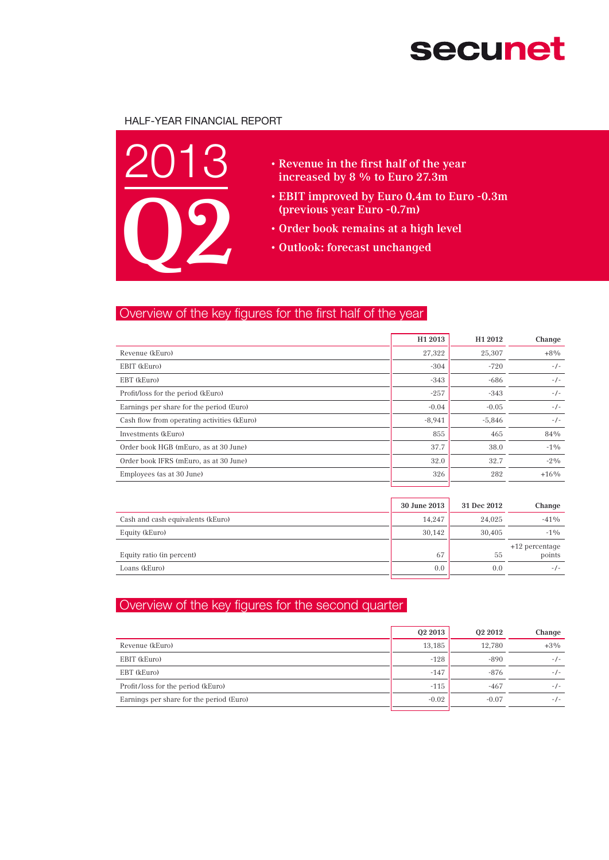# **secunet**

### Half-Year Financial Report



- • Revenue in the first half of the year increased by 8 % to Euro 27.3m
- EBIT improved by Euro 0.4m to Euro -0.3m (previous year Euro -0.7m)
- • Order book remains at a high level
- • Outlook: forecast unchanged

## Overview of the key figures for the first half of the year

|                                             | H <sub>1</sub> 2013 | H <sub>1</sub> 2012 | Change |
|---------------------------------------------|---------------------|---------------------|--------|
| Revenue (kEuro)                             | 27,322              | 25,307              | $+8\%$ |
| EBIT (kEuro)                                | $-304$              | $-720$              | $-/-$  |
| EBT (kEuro)                                 | $-343$              | $-686$              | $-/-$  |
| Profit/loss for the period (kEuro)          | $-257$              | $-343$              | $-/-$  |
| Earnings per share for the period (Euro)    | $-0.04$             | $-0.05$             | $-/-$  |
| Cash flow from operating activities (kEuro) | $-8,941$            | $-5,846$            | $-/-$  |
| Investments (kEuro)                         | 855                 | 465                 | 84%    |
| Order book HGB (mEuro, as at 30 June)       | 37.7                | 38.0                | $-1\%$ |
| Order book IFRS (mEuro, as at 30 June)      | 32.0                | 32.7                | $-2\%$ |
| Employees (as at 30 June)                   | 326                 | 282                 | $+16%$ |
|                                             |                     |                     |        |

|                                   | 30 June 2013  | 31 Dec 2012 | Change                     |
|-----------------------------------|---------------|-------------|----------------------------|
| Cash and cash equivalents (kEuro) | 14.247        | 24.025      | $-41%$                     |
| Equity (kEuro)                    | 30.142        | 30.405      | $-1\%$                     |
| Equity ratio (in percent)         | 67            | 55          | $+12$ percentage<br>points |
| Loans (kEuro)                     | $0.0^{\circ}$ | 0.0         | $-1$ –                     |

## Overview of the key figures for the second quarter

|                                          | 02 2013 | 02 2012 | Change |
|------------------------------------------|---------|---------|--------|
| Revenue (kEuro)                          | 13.185  | 12.780  | $+3\%$ |
| EBIT (kEuro)                             | $-128$  | $-890$  | $-1-$  |
| EBT (kEuro)                              | $-147$  | $-876$  | $-1-$  |
| Profit/loss for the period (kEuro)       | $-115$  | $-467$  | $-1-$  |
| Earnings per share for the period (Euro) | $-0.02$ | $-0.07$ | $-1-$  |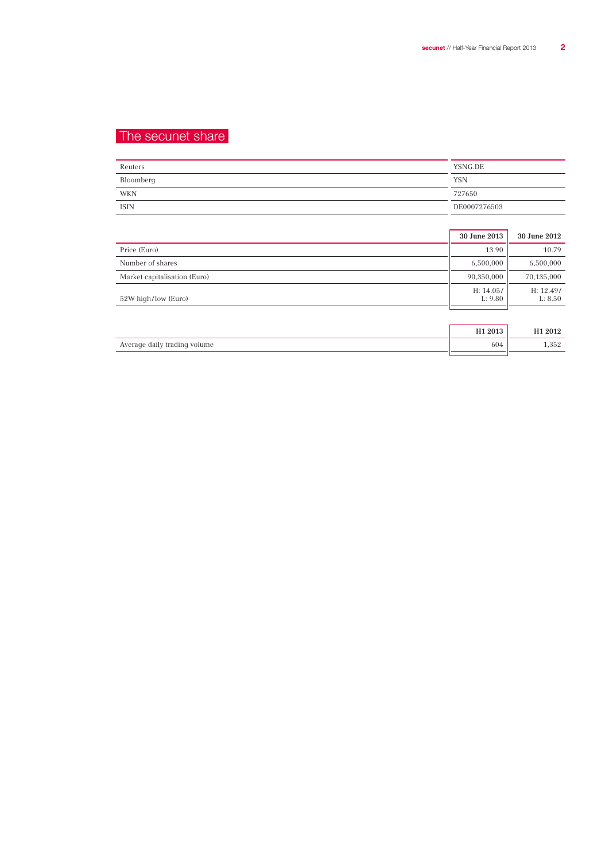## The secunet share

| Reuters     | YSNG.DE      |
|-------------|--------------|
| Bloomberg   | YSN          |
| WKN         | 727650       |
| <b>ISIN</b> | DE0007276503 |

|                              | 30 June 2013         | 30 June 2012         |
|------------------------------|----------------------|----------------------|
| Price (Euro)                 | 13.90                | 10.79                |
| Number of shares             | 6,500,000            | 6,500,000            |
| Market capitalisation (Euro) | 90,350,000           | 70,135,000           |
| 52W high/low (Euro)          | H: 14.05/<br>L: 9.80 | H: 12.49/<br>L: 8.50 |
|                              |                      |                      |
|                              | H1 2013              | H <sub>1</sub> 2012  |
| Average daily trading volume | 604                  | 1,352                |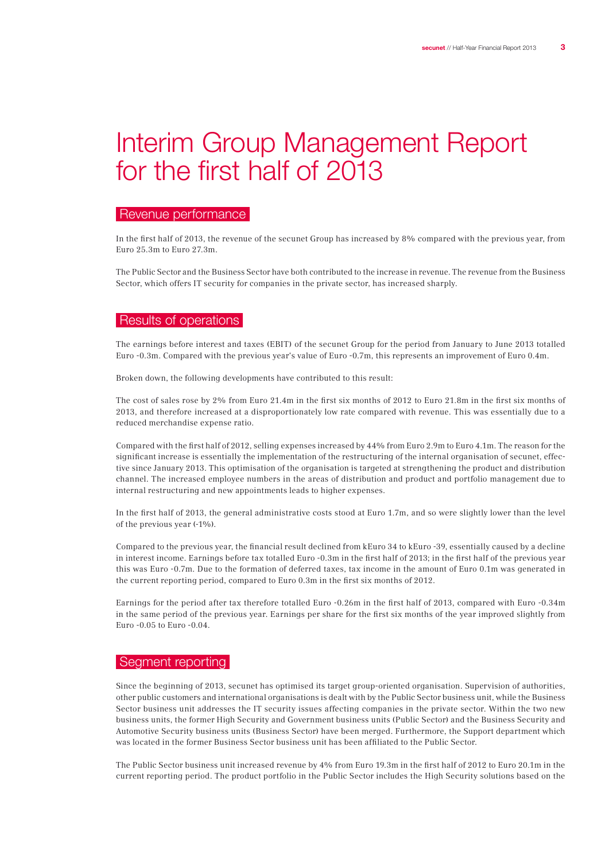## Interim Group Management Report for the first half of 2013

### Revenue performance

In the first half of 2013, the revenue of the secunet Group has increased by 8% compared with the previous year, from Euro 25.3m to Euro 27.3m.

The Public Sector and the Business Sector have both contributed to the increase in revenue. The revenue from the Business Sector, which offers IT security for companies in the private sector, has increased sharply.

#### Results of operations

The earnings before interest and taxes (EBIT) of the secunet Group for the period from January to June 2013 totalled Euro -0.3m. Compared with the previous year's value of Euro -0.7m, this represents an improvement of Euro 0.4m.

Broken down, the following developments have contributed to this result:

The cost of sales rose by 2% from Euro 21.4m in the first six months of 2012 to Euro 21.8m in the first six months of 2013, and therefore increased at a disproportionately low rate compared with revenue. This was essentially due to a reduced merchandise expense ratio.

Compared with the first half of 2012, selling expenses increased by 44% from Euro 2.9m to Euro 4.1m. The reason for the significant increase is essentially the implementation of the restructuring of the internal organisation of secunet, effective since January 2013. This optimisation of the organisation is targeted at strengthening the product and distribution channel. The increased employee numbers in the areas of distribution and product and portfolio management due to internal restructuring and new appointments leads to higher expenses.

In the first half of 2013, the general administrative costs stood at Euro 1.7m, and so were slightly lower than the level of the previous year (-1%).

Compared to the previous year, the financial result declined from kEuro 34 to kEuro -39, essentially caused by a decline in interest income. Earnings before tax totalled Euro -0.3m in the first half of 2013; in the first half of the previous year this was Euro -0.7m. Due to the formation of deferred taxes, tax income in the amount of Euro 0.1m was generated in the current reporting period, compared to Euro 0.3m in the first six months of 2012.

Earnings for the period after tax therefore totalled Euro -0.26m in the first half of 2013, compared with Euro -0.34m in the same period of the previous year. Earnings per share for the first six months of the year improved slightly from Euro -0.05 to Euro -0.04.

#### Segment reporting

Since the beginning of 2013, secunet has optimised its target group-oriented organisation. Supervision of authorities, other public customers and international organisations is dealt with by the Public Sector business unit, while the Business Sector business unit addresses the IT security issues affecting companies in the private sector. Within the two new business units, the former High Security and Government business units (Public Sector) and the Business Security and Automotive Security business units (Business Sector) have been merged. Furthermore, the Support department which was located in the former Business Sector business unit has been affiliated to the Public Sector.

The Public Sector business unit increased revenue by 4% from Euro 19.3m in the first half of 2012 to Euro 20.1m in the current reporting period. The product portfolio in the Public Sector includes the High Security solutions based on the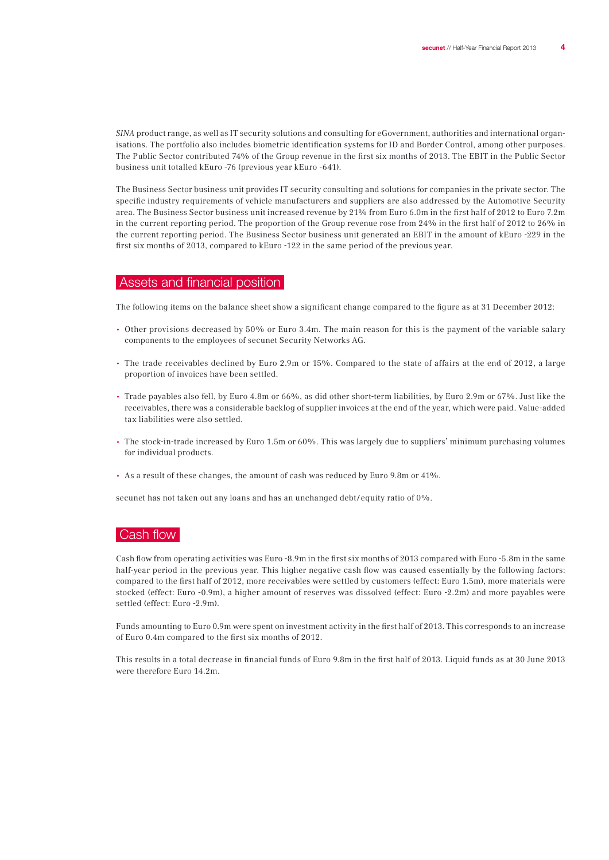SINA product range, as well as IT security solutions and consulting for eGovernment, authorities and international organisations. The portfolio also includes biometric identification systems for ID and Border Control, among other purposes. The Public Sector contributed 74% of the Group revenue in the first six months of 2013. The EBIT in the Public Sector business unit totalled kEuro -76 (previous year kEuro -641).

The Business Sector business unit provides IT security consulting and solutions for companies in the private sector. The specific industry requirements of vehicle manufacturers and suppliers are also addressed by the Automotive Security area. The Business Sector business unit increased revenue by 21% from Euro 6.0m in the first half of 2012 to Euro 7.2m in the current reporting period. The proportion of the Group revenue rose from 24% in the first half of 2012 to 26% in the current reporting period. The Business Sector business unit generated an EBIT in the amount of kEuro -229 in the first six months of 2013, compared to kEuro -122 in the same period of the previous year.

#### Assets and financial position

The following items on the balance sheet show a significant change compared to the figure as at 31 December 2012:

- Other provisions decreased by 50% or Euro 3.4m. The main reason for this is the payment of the variable salary components to the employees of secunet Security Networks AG.
- The trade receivables declined by Euro 2.9m or 15%. Compared to the state of affairs at the end of 2012, a large proportion of invoices have been settled.
- Trade payables also fell, by Euro 4.8m or 66%, as did other short-term liabilities, by Euro 2.9m or 67%. Just like the receivables, there was a considerable backlog of supplier invoices at the end of the year, which were paid. Value-added tax liabilities were also settled.
- The stock-in-trade increased by Euro 1.5m or 60%. This was largely due to suppliers' minimum purchasing volumes for individual products.
- As a result of these changes, the amount of cash was reduced by Euro 9.8m or 41%.

secunet has not taken out any loans and has an unchanged debt/equity ratio of 0%.

#### Cash flow

Cash flow from operating activities was Euro -8.9m in the first six months of 2013 compared with Euro -5.8m in the same half-year period in the previous year. This higher negative cash flow was caused essentially by the following factors: compared to the first half of 2012, more receivables were settled by customers (effect: Euro 1.5m), more materials were stocked (effect: Euro -0.9m), a higher amount of reserves was dissolved (effect: Euro -2.2m) and more payables were settled (effect: Euro -2.9m).

Funds amounting to Euro 0.9m were spent on investment activity in the first half of 2013. This corresponds to an increase of Euro 0.4m compared to the first six months of 2012.

This results in a total decrease in financial funds of Euro 9.8m in the first half of 2013. Liquid funds as at 30 June 2013 were therefore Euro 14.2m.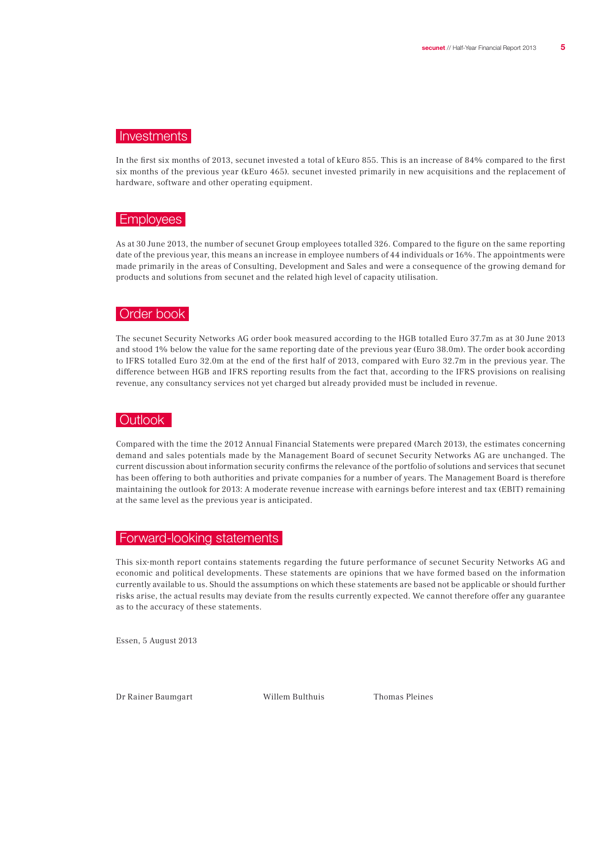## **Investments**

In the first six months of 2013, secunet invested a total of kEuro 855. This is an increase of 84% compared to the first six months of the previous year (kEuro 465). secunet invested primarily in new acquisitions and the replacement of hardware, software and other operating equipment.

## Employees

As at 30 June 2013, the number of secunet Group employees totalled 326. Compared to the figure on the same reporting date of the previous year, this means an increase in employee numbers of 44 individuals or 16%. The appointments were made primarily in the areas of Consulting, Development and Sales and were a consequence of the growing demand for products and solutions from secunet and the related high level of capacity utilisation.

## Order book

The secunet Security Networks AG order book measured according to the HGB totalled Euro 37.7m as at 30 June 2013 and stood 1% below the value for the same reporting date of the previous year (Euro 38.0m). The order book according to IFRS totalled Euro 32.0m at the end of the first half of 2013, compared with Euro 32.7m in the previous year. The difference between HGB and IFRS reporting results from the fact that, according to the IFRS provisions on realising revenue, any consultancy services not yet charged but already provided must be included in revenue.

#### **Outlook**

Compared with the time the 2012 Annual Financial Statements were prepared (March 2013), the estimates concerning demand and sales potentials made by the Management Board of secunet Security Networks AG are unchanged. The current discussion about information security confirms the relevance of the portfolio of solutions and services that secunet has been offering to both authorities and private companies for a number of years. The Management Board is therefore maintaining the outlook for 2013: A moderate revenue increase with earnings before interest and tax (EBIT) remaining at the same level as the previous year is anticipated.

### Forward-looking statements

This six-month report contains statements regarding the future performance of secunet Security Networks AG and economic and political developments. These statements are opinions that we have formed based on the information currently available to us. Should the assumptions on which these statements are based not be applicable or should further risks arise, the actual results may deviate from the results currently expected. We cannot therefore offer any guarantee as to the accuracy of these statements.

Essen, 5 August 2013

Dr Rainer Baumgart Willem Bulthuis Thomas Pleines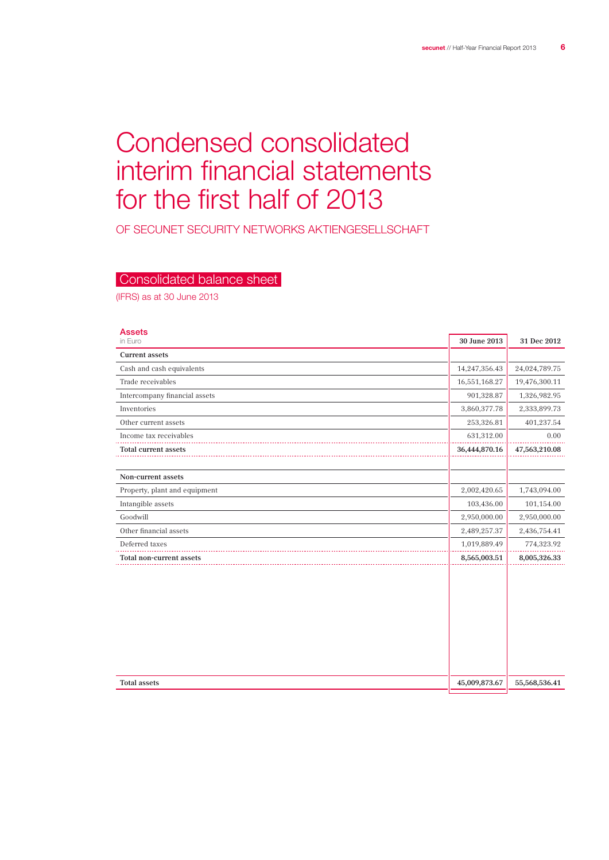## Condensed consolidated interim financial statements for the first half of 2013

OF SECUNET SECURITY NETWORKS Aktiengesellschaft

## Consolidated balance sheet

(IFRS) as at 30 June 2013

| <b>Assets</b><br>in Euro      | 30 June 2013  | 31 Dec 2012   |
|-------------------------------|---------------|---------------|
| <b>Current assets</b>         |               |               |
| Cash and cash equivalents     | 14,247,356.43 | 24,024,789.75 |
| Trade receivables             | 16,551,168.27 | 19,476,300.11 |
| Intercompany financial assets | 901,328.87    | 1,326,982.95  |
| Inventories                   | 3,860,377.78  | 2,333,899.73  |
| Other current assets          | 253,326.81    | 401,237.54    |
| Income tax receivables        | 631,312.00    | 0.00          |
| Total current assets          | 36,444,870.16 | 47,563,210.08 |
|                               |               |               |
| Non-current assets            |               |               |
| Property, plant and equipment | 2,002,420.65  | 1,743,094.00  |
| Intangible assets             | 103,436.00    | 101,154.00    |
| Goodwill                      | 2,950,000.00  | 2,950,000.00  |
| Other financial assets        | 2,489,257.37  | 2,436,754.41  |
| Deferred taxes                | 1,019,889.49  | 774,323.92    |
| Total non-current assets      | 8,565,003.51  | 8,005,326.33  |
|                               |               |               |
| <b>Total assets</b>           | 45,009,873.67 | 55,568,536.41 |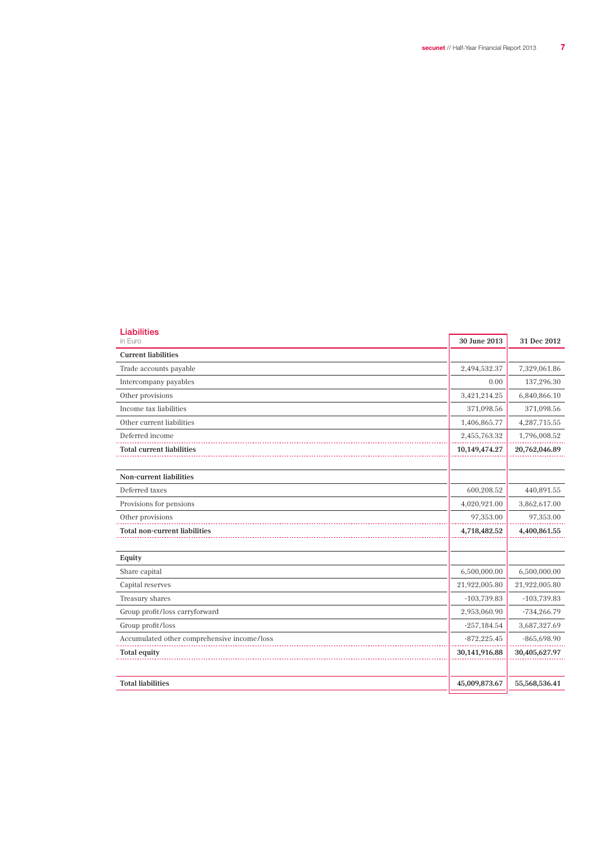| <b>Liabilities</b><br>in Euro               | 30 June 2013  | 31 Dec 2012   |
|---------------------------------------------|---------------|---------------|
| <b>Current liabilities</b>                  |               |               |
| Trade accounts payable                      | 2,494,532.37  | 7,329,061.86  |
| Intercompany payables                       | 0.00          | 137,296.30    |
| Other provisions                            | 3,421,214.25  | 6,840,866.10  |
| Income tax liabilities                      | 371,098.56    | 371,098.56    |
| Other current liabilities                   | 1,406,865.77  | 4,287,715.55  |
| Deferred income                             | 2,455,763.32  | 1,796,008.52  |
| <b>Total current liabilities</b>            | 10,149,474.27 | 20,762,046.89 |
|                                             |               |               |
| <b>Non-current liabilities</b>              |               |               |
| Deferred taxes                              | 600,208.52    | 440,891.55    |
| Provisions for pensions                     | 4,020,921.00  | 3,862,617.00  |
| Other provisions                            | 97,353.00     | 97,353.00     |
| <b>Total non-current liabilities</b>        | 4,718,482.52  | 4,400,861.55  |
|                                             |               |               |
| Equity                                      |               |               |
| Share capital                               | 6,500,000.00  | 6,500,000.00  |
| Capital reserves                            | 21,922,005.80 | 21,922,005.80 |
| Treasury shares                             | $-103,739.83$ | $-103,739.83$ |
| Group profit/loss carryforward              | 2,953,060.90  | $-734,266.79$ |
| Group profit/loss                           | $-257,184.54$ | 3,687,327.69  |
| Accumulated other comprehensive income/loss | $-872,225.45$ | $-865,698.90$ |
| <b>Total equity</b>                         | 30,141,916.88 | 30,405,627.97 |
|                                             |               |               |
| <b>Total liabilities</b>                    | 45,009,873.67 | 55,568,536.41 |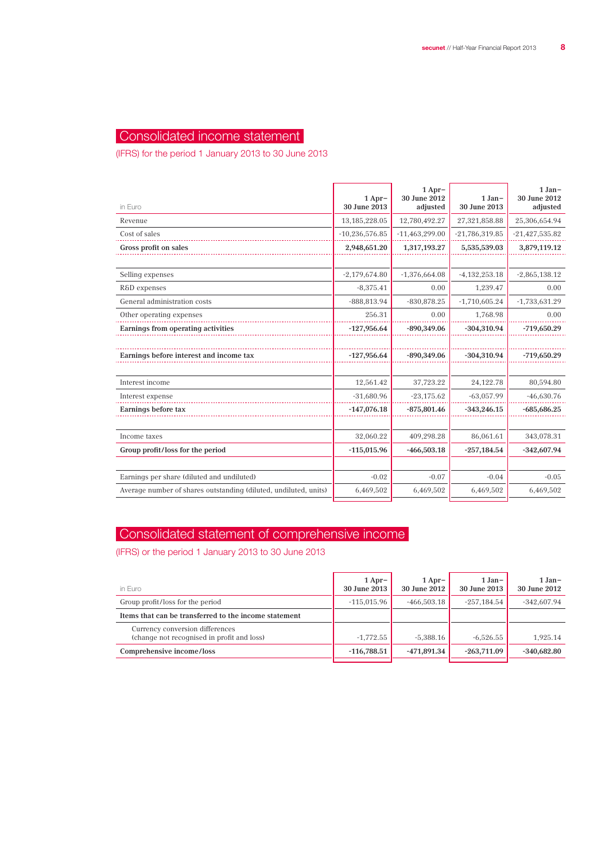## Consolidated income statement

(IFRS) for the period 1 January 2013 to 30 June 2013

| in Euro                                                          | $1$ Apr-<br>30 June 2013 | $1$ Apr-<br>30 June 2012<br>adjusted | $1 Jan-$<br>30 June 2013 | $1 Jan-$<br>30 June 2012<br>adjusted |
|------------------------------------------------------------------|--------------------------|--------------------------------------|--------------------------|--------------------------------------|
| Revenue                                                          | 13, 185, 228.05          | 12,780,492.27                        | 27,321,858.88            | 25,306,654.94                        |
| Cost of sales                                                    | $-10,236,576.85$         | $-11,463,299.00$                     | $-21,786,319.85$         | $-21,427,535.82$                     |
| Gross profit on sales                                            | 2,948,651.20             | 1,317,193.27                         | 5,535,539.03             | 3,879,119.12                         |
|                                                                  |                          |                                      |                          |                                      |
| Selling expenses                                                 | $-2,179,674.80$          | $-1,376,664.08$                      | $-4,132,253.18$          | $-2,865,138.12$                      |
| R&D expenses                                                     | $-8,375.41$              | 0.00                                 | 1,239.47                 | 0.00                                 |
| General administration costs                                     | $-888,813.94$            | $-830,878.25$                        | $-1,710,605.24$          | $-1,733,631.29$                      |
| Other operating expenses                                         | 256.31                   | 0.00                                 | 1,768.98                 | 0.00                                 |
| Earnings from operating activities                               | $-127,956.64$            | -890,349.06                          | $-304,310.94$            | $-719,650.29$                        |
|                                                                  |                          |                                      |                          |                                      |
| Earnings before interest and income tax                          | $-127,956.64$            | $-890,349.06$                        | $-304,310.94$            | $-719,650.29$                        |
|                                                                  |                          |                                      |                          |                                      |
| Interest income                                                  | 12,561.42                | 37,723.22                            | 24, 122. 78              | 80,594.80                            |
| Interest expense                                                 | $-31,680.96$             | $-23,175.62$                         | $-63,057.99$             | $-46,630.76$                         |
| Earnings before tax                                              | $-147,076.18$            | $-875,801.46$                        | $-343,246.15$            | $-685,686.25$                        |
|                                                                  |                          |                                      |                          |                                      |
| Income taxes                                                     | 32,060.22                | 409,298.28                           | 86,061.61                | 343,078.31                           |
| Group profit/loss for the period                                 | $-115,015.96$            | $-466,503.18$                        | $-257,184.54$            | $-342,607.94$                        |
|                                                                  |                          |                                      |                          |                                      |
| Earnings per share (diluted and undiluted)                       | $-0.02$                  | $-0.07$                              | $-0.04$                  | $-0.05$                              |
| Average number of shares outstanding (diluted, undiluted, units) | 6,469,502                | 6,469,502                            | 6,469,502                | 6,469,502                            |
|                                                                  |                          |                                      |                          |                                      |

## Consolidated statement of comprehensive income

(IFRS) or the period 1 January 2013 to 30 June 2013

| in Euro                                                                       | $1$ Apr-<br>30 June 2013 | $1$ Apr-<br>30 June 2012 | $1 Jan-$<br>30 June 2013 | $1 Jan-$<br>30 June 2012 |
|-------------------------------------------------------------------------------|--------------------------|--------------------------|--------------------------|--------------------------|
| Group profit/loss for the period                                              | $-115.015.96$            | $-466.503.18$            | $-257.184.54$            | $-342,607.94$            |
| Items that can be transferred to the income statement                         |                          |                          |                          |                          |
| Currency conversion differences<br>(change not recognised in profit and loss) | $-1.772.55$              | $-5.388.16$              | $-6.526.55$              | 1.925.14                 |
| Comprehensive income/loss                                                     | $-116,788.51$            | $-471.891.34$            | $-263.711.09$            | $-340.682.80$            |
|                                                                               |                          |                          |                          |                          |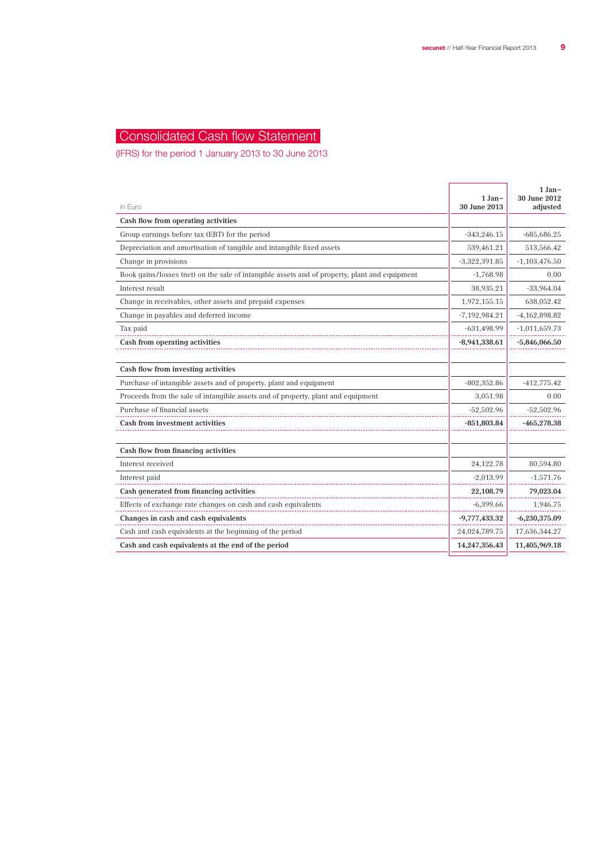## Consolidated Cash flow Statement

(IFRS) for the period 1 January 2013 to 30 June 2013

| in Euro                                                                                       | $1 Jan-$<br>30 June 2013 | $1 Jan-$<br>30 June 2012<br>adjusted |
|-----------------------------------------------------------------------------------------------|--------------------------|--------------------------------------|
| Cash flow from operating activities                                                           |                          |                                      |
| Group earnings before tax (EBT) for the period                                                | $-343,246.15$            | $-685,686.25$                        |
| Depreciation and amortisation of tangible and intangible fixed assets                         | 539,461.21               | 513,566.42                           |
| Change in provisions                                                                          | $-3,322,391.85$          | $-1,103,476.50$                      |
| Book gains/losses (net) on the sale of intangible assets and of property, plant and equipment | $-1,768.98$              | 0.00                                 |
| Interest result                                                                               | 38,935.21                | $-33,964.04$                         |
| Change in receivables, other assets and prepaid expenses                                      | 1,972,155.15             | 638,052.42                           |
| Change in payables and deferred income                                                        | $-7,192,984.21$          | $-4,162,898.82$                      |
| Tax paid                                                                                      | $-631,498.99$            | $-1,011,659.73$                      |
| Cash from operating activities                                                                | $-8,941,338.61$          | $-5,846,066.50$                      |
|                                                                                               |                          |                                      |
| Cash flow from investing activities                                                           |                          |                                      |
| Purchase of intangible assets and of property, plant and equipment                            | $-802,352.86$            | $-412,775.42$                        |
| Proceeds from the sale of intangible assets and of property, plant and equipment              | 3,051.98                 | 0.00                                 |
| Purchase of financial assets                                                                  | $-52,502.96$             | $-52,502.96$                         |
| <b>Cash from investment activities</b>                                                        | $-851,803.84$            | $-465,278.38$                        |
|                                                                                               |                          |                                      |
| Cash flow from financing activities                                                           |                          |                                      |
| Interest received                                                                             | 24,122.78                | 80,594.80                            |
| Interest paid                                                                                 | $-2,013.99$              | $-1,571.76$                          |
| Cash generated from financing activities                                                      | 22,108.79                | 79,023.04                            |
| Effects of exchange rate changes on cash and cash equivalents                                 | $-6,399.66$              | 1,946.75                             |
| Changes in cash and cash equivalents                                                          | $-9,777,433.32$          | $-6,230,375.09$                      |
| Cash and cash equivalents at the beginning of the period                                      | 24,024,789.75            | 17,636,344.27                        |
| Cash and cash equivalents at the end of the period                                            | 14,247,356.43            | 11,405,969.18                        |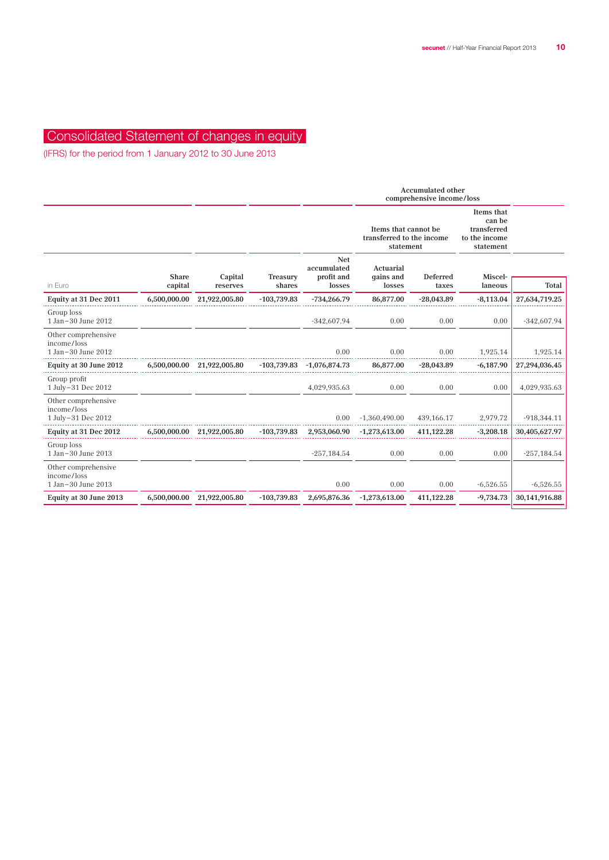## Consolidated Statement of changes in equity

(IFRS) for the period from 1 January 2012 to 30 June 2013

|                                                          |                         |                            |                    |                                                   | <b>Accumulated other</b><br>comprehensive income/loss          |                   |                                                                   |               |
|----------------------------------------------------------|-------------------------|----------------------------|--------------------|---------------------------------------------------|----------------------------------------------------------------|-------------------|-------------------------------------------------------------------|---------------|
|                                                          |                         |                            |                    |                                                   | Items that cannot be<br>transferred to the income<br>statement |                   | Items that<br>can be<br>transferred<br>to the income<br>statement |               |
| in Euro                                                  | <b>Share</b><br>capital | Capital<br>reserves        | Treasury<br>shares | <b>Net</b><br>accumulated<br>profit and<br>losses | Actuarial<br>qains and<br>losses                               | Deferred<br>taxes | Miscel-<br>laneous                                                | Total         |
| Equity at 31 Dec 2011                                    | 6,500,000.00            | 21,922,005.80              | $-103,739.83$      | $-734,266.79$                                     | 86,877.00                                                      | $-28,043.89$      | $-8,113.04$                                                       | 27,634,719.25 |
| Group loss<br>1 Jan-30 June 2012                         |                         |                            |                    | $-342,607.94$                                     | 0.00                                                           | 0.00              | 0.00                                                              | $-342,607.94$ |
| Other comprehensive<br>income/loss<br>1 Jan-30 June 2012 |                         |                            |                    | 0.00                                              | 0.00                                                           | 0.00              | 1,925.14                                                          | 1,925.14      |
| Equity at 30 June 2012                                   | 6,500,000.00            | 21,922,005.80              | $-103,739.83$      | $-1,076,874.73$                                   | 86,877.00                                                      | $-28,043.89$      | $-6,187.90$                                                       | 27,294,036.45 |
| Group profit<br>1 July-31 Dec 2012                       |                         |                            |                    | 4,029,935.63                                      | 0.00                                                           | 0.00              | 0.00                                                              | 4,029,935.63  |
| Other comprehensive<br>income/loss<br>1 July-31 Dec 2012 |                         |                            |                    | 0.00                                              | $-1,360,490.00$                                                | 439, 166. 17      | 2,979.72                                                          | $-918,344.11$ |
| Equity at 31 Dec 2012                                    |                         | 6,500,000.00 21,922,005.80 | $-103,739.83$      | 2,953,060.90                                      | $-1,273,613.00$                                                | 411,122.28        | $-3,208.18$                                                       | 30,405,627.97 |
| Group loss<br>1 Jan-30 June 2013                         |                         |                            |                    | $-257,184.54$                                     | 0.00                                                           | 0.00              | 0.00                                                              | $-257,184.54$ |
| Other comprehensive<br>income/loss<br>1 Jan-30 June 2013 |                         |                            |                    | 0.00                                              | 0.00                                                           | 0.00              | $-6,526.55$                                                       | $-6,526.55$   |
| Equity at 30 June 2013                                   | 6,500,000.00            | 21,922,005.80              | $-103,739.83$      | 2,695,876.36                                      | $-1,273,613.00$                                                | 411,122.28        | $-9,734.73$                                                       | 30,141,916.88 |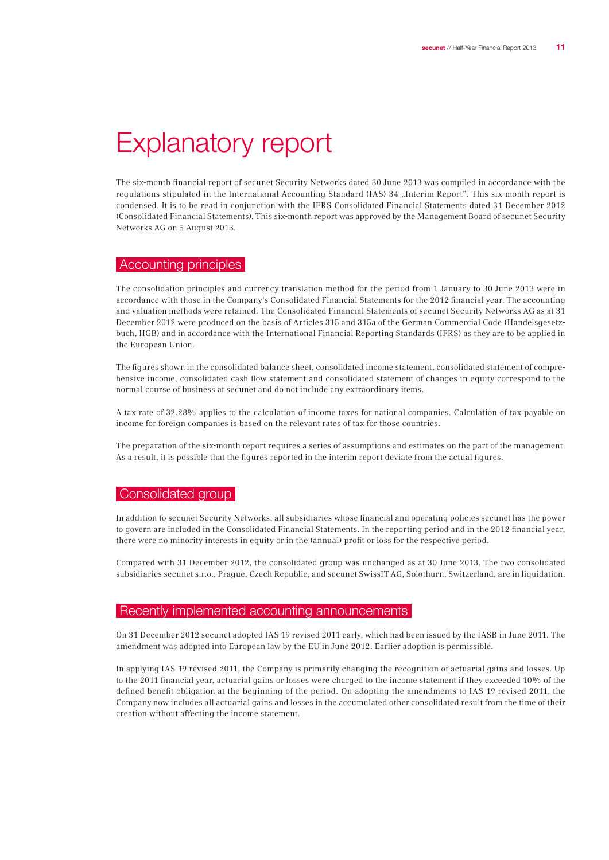## Explanatory report

The six-month financial report of secunet Security Networks dated 30 June 2013 was compiled in accordance with the regulations stipulated in the International Accounting Standard (IAS) 34 "Interim Report". This six-month report is condensed. It is to be read in conjunction with the IFRS Consolidated Financial Statements dated 31 December 2012 (Consolidated Financial Statements). This six-month report was approved by the Management Board of secunet Security Networks AG on 5 August 2013.

### Accounting principles

The consolidation principles and currency translation method for the period from 1 January to 30 June 2013 were in accordance with those in the Company's Consolidated Financial Statements for the 2012 financial year. The accounting and valuation methods were retained. The Consolidated Financial Statements of secunet Security Networks AG as at 31 December 2012 were produced on the basis of Articles 315 and 315a of the German Commercial Code (Handelsgesetzbuch, HGB) and in accordance with the International Financial Reporting Standards (IFRS) as they are to be applied in the European Union.

The figures shown in the consolidated balance sheet, consolidated income statement, consolidated statement of comprehensive income, consolidated cash flow statement and consolidated statement of changes in equity correspond to the normal course of business at secunet and do not include any extraordinary items.

A tax rate of 32.28% applies to the calculation of income taxes for national companies. Calculation of tax payable on income for foreign companies is based on the relevant rates of tax for those countries.

The preparation of the six-month report requires a series of assumptions and estimates on the part of the management. As a result, it is possible that the figures reported in the interim report deviate from the actual figures.

#### Consolidated group

In addition to secunet Security Networks, all subsidiaries whose financial and operating policies secunet has the power to govern are included in the Consolidated Financial Statements. In the reporting period and in the 2012 financial year, there were no minority interests in equity or in the (annual) profit or loss for the respective period.

Compared with 31 December 2012, the consolidated group was unchanged as at 30 June 2013. The two consolidated subsidiaries secunet s.r.o., Prague, Czech Republic, and secunet SwissIT AG, Solothurn, Switzerland, are in liquidation.

## Recently implemented accounting announcements

On 31 December 2012 secunet adopted IAS 19 revised 2011 early, which had been issued by the IASB in June 2011. The amendment was adopted into European law by the EU in June 2012. Earlier adoption is permissible.

In applying IAS 19 revised 2011, the Company is primarily changing the recognition of actuarial gains and losses. Up to the 2011 financial year, actuarial gains or losses were charged to the income statement if they exceeded 10% of the defined benefit obligation at the beginning of the period. On adopting the amendments to IAS 19 revised 2011, the Company now includes all actuarial gains and losses in the accumulated other consolidated result from the time of their creation without affecting the income statement.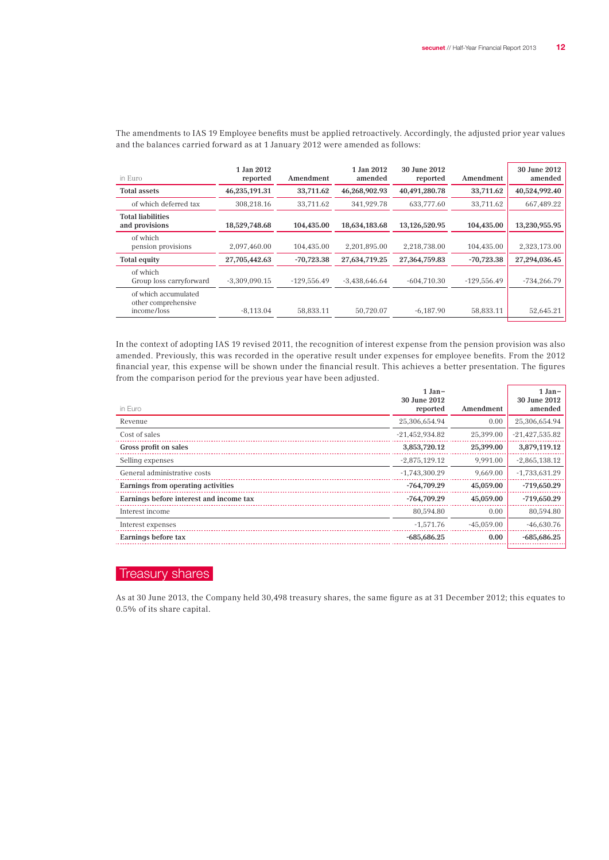| in Euro                                                    | 1 Jan 2012<br>reported | Amendment     | 1 Jan 2012<br>amended | 30 June 2012<br>reported | Amendment     | 30 June 2012<br>amended |
|------------------------------------------------------------|------------------------|---------------|-----------------------|--------------------------|---------------|-------------------------|
| <b>Total assets</b>                                        | 46,235,191.31          | 33,711.62     | 46,268,902.93         | 40,491,280.78            | 33,711.62     | 40,524,992.40           |
| of which deferred tax                                      | 308.218.16             | 33.711.62     | 341.929.78            | 633,777.60               | 33.711.62     | 667.489.22              |
| <b>Total liabilities</b><br>and provisions                 | 18,529,748.68          | 104.435.00    | 18.634.183.68         | 13,126,520.95            | 104,435.00    | 13,230,955.95           |
| of which<br>pension provisions                             | 2.097.460.00           | 104.435.00    | 2.201.895.00          | 2.218.738.00             | 104.435.00    | 2,323,173.00            |
| Total equity                                               | 27,705,442.63          | $-70,723.38$  | 27,634,719.25         | 27,364,759.83            | $-70,723.38$  | 27,294,036.45           |
| of which<br>Group loss carryforward                        | $-3,309,090.15$        | $-129.556.49$ | $-3,438,646.64$       | $-604.710.30$            | $-129,556.49$ | $-734,266.79$           |
| of which accumulated<br>other comprehensive<br>income/loss | $-8,113.04$            | 58,833.11     | 50,720.07             | $-6,187.90$              | 58,833.11     | 52,645.21               |

The amendments to IAS 19 Employee benefits must be applied retroactively. Accordingly, the adjusted prior year values and the balances carried forward as at 1 January 2012 were amended as follows:

In the context of adopting IAS 19 revised 2011, the recognition of interest expense from the pension provision was also amended. Previously, this was recorded in the operative result under expenses for employee benefits. From the 2012 financial year, this expense will be shown under the financial result. This achieves a better presentation. The figures from the comparison period for the previous year have been adjusted.

|                                         | $1 Jan -$<br>30 June 2012 |              | $1 Jan-$<br>30 June 2012 |
|-----------------------------------------|---------------------------|--------------|--------------------------|
| in Euro                                 | reported                  | Amendment    | amended                  |
| Revenue                                 | 25,306,654.94             | 0.00         | 25,306,654.94            |
| Cost of sales                           | $-21,452,934.82$          | 25.399.00    | $-21,427,535.82$         |
| Gross profit on sales                   | 3,853,720.12              | 25,399.00    | 3,879,119.12             |
| Selling expenses                        | $-2,875,129.12$           | 9,991.00     | $-2,865,138.12$          |
| General administrative costs            | $-1,743,300.29$           | 9.669.00     | $-1,733,631.29$          |
| Earnings from operating activities      | $-764,709.29$             | 45,059.00    | $-719,650.29$            |
| Earnings before interest and income tax | $-764,709.29$             | 45,059.00    | $-719,650.29$            |
| Interest income                         | 80,594.80                 | 0.00         | 80,594.80                |
| Interest expenses                       | $-1.571.76$               | $-45.059.00$ | $-46.630.76$             |
| Earnings before tax                     | $-685,686.25$             | 0.00         | $-685,686.25$            |
|                                         |                           |              |                          |

### Treasury shares

As at 30 June 2013, the Company held 30,498 treasury shares, the same figure as at 31 December 2012; this equates to 0.5% of its share capital.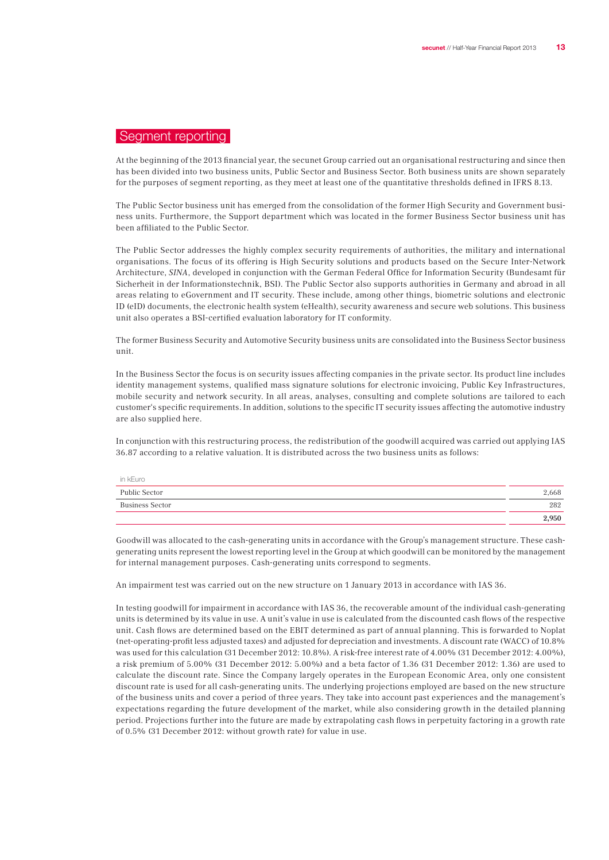### Segment reporting

At the beginning of the 2013 financial year, the secunet Group carried out an organisational restructuring and since then has been divided into two business units, Public Sector and Business Sector. Both business units are shown separately for the purposes of segment reporting, as they meet at least one of the quantitative thresholds defined in IFRS 8.13.

The Public Sector business unit has emerged from the consolidation of the former High Security and Government business units. Furthermore, the Support department which was located in the former Business Sector business unit has been affiliated to the Public Sector.

The Public Sector addresses the highly complex security requirements of authorities, the military and international organisations. The focus of its offering is High Security solutions and products based on the Secure Inter-Network Architecture, SINA, developed in conjunction with the German Federal Office for Information Security (Bundesamt für Sicherheit in der Informationstechnik, BSI). The Public Sector also supports authorities in Germany and abroad in all areas relating to eGovernment and IT security. These include, among other things, biometric solutions and electronic ID (eID) documents, the electronic health system (eHealth), security awareness and secure web solutions. This business unit also operates a BSI-certified evaluation laboratory for IT conformity.

The former Business Security and Automotive Security business units are consolidated into the Business Sector business unit.

In the Business Sector the focus is on security issues affecting companies in the private sector. Its product line includes identity management systems, qualified mass signature solutions for electronic invoicing, Public Key Infrastructures, mobile security and network security. In all areas, analyses, consulting and complete solutions are tailored to each customer's specific requirements. In addition, solutions to the specific IT security issues affecting the automotive industry are also supplied here.

In conjunction with this restructuring process, the redistribution of the goodwill acquired was carried out applying IAS 36.87 according to a relative valuation. It is distributed across the two business units as follows:

| in kEuro<br>____       |       |
|------------------------|-------|
| Public Sector          | 2,668 |
| <b>Business Sector</b> | 282   |
|                        | 2,950 |

Goodwill was allocated to the cash-generating units in accordance with the Group's management structure. These cashgenerating units represent the lowest reporting level in the Group at which goodwill can be monitored by the management for internal management purposes. Cash-generating units correspond to segments.

An impairment test was carried out on the new structure on 1 January 2013 in accordance with IAS 36.

In testing goodwill for impairment in accordance with IAS 36, the recoverable amount of the individual cash-generating units is determined by its value in use. A unit's value in use is calculated from the discounted cash flows of the respective unit. Cash flows are determined based on the EBIT determined as part of annual planning. This is forwarded to Noplat (net-operating-profit less adjusted taxes) and adjusted for depreciation and investments. A discount rate (WACC) of 10.8% was used for this calculation (31 December 2012: 10.8%). A risk-free interest rate of 4.00% (31 December 2012: 4.00%), a risk premium of 5.00% (31 December 2012: 5.00%) and a beta factor of 1.36 (31 December 2012: 1.36) are used to calculate the discount rate. Since the Company largely operates in the European Economic Area, only one consistent discount rate is used for all cash-generating units. The underlying projections employed are based on the new structure of the business units and cover a period of three years. They take into account past experiences and the management's expectations regarding the future development of the market, while also considering growth in the detailed planning period. Projections further into the future are made by extrapolating cash flows in perpetuity factoring in a growth rate of 0.5% (31 December 2012: without growth rate) for value in use.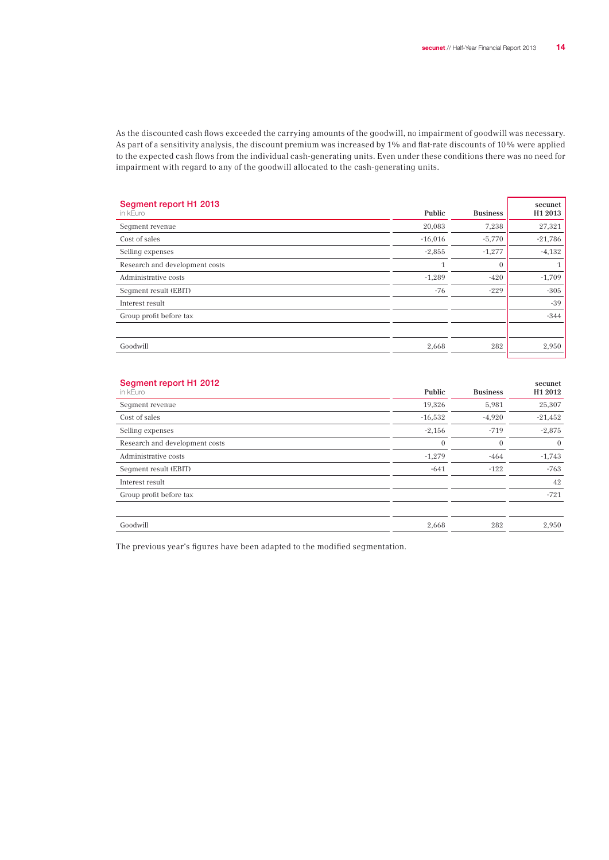As the discounted cash flows exceeded the carrying amounts of the goodwill, no impairment of goodwill was necessary. As part of a sensitivity analysis, the discount premium was increased by 1% and flat-rate discounts of 10% were applied to the expected cash flows from the individual cash-generating units. Even under these conditions there was no need for impairment with regard to any of the goodwill allocated to the cash-generating units.

| Segment report H1 2013<br>in kEuro | Public    | <b>Business</b> | secunet<br>H <sub>1</sub> 2013 |
|------------------------------------|-----------|-----------------|--------------------------------|
| Seqment revenue                    | 20,083    | 7,238           | 27,321                         |
| Cost of sales                      | $-16,016$ | $-5,770$        | $-21,786$                      |
| Selling expenses                   | $-2,855$  | $-1,277$        | $-4,132$                       |
| Research and development costs     |           | $\theta$        | 1                              |
| Administrative costs               | $-1,289$  | $-420$          | $-1,709$                       |
| Seqment result (EBIT)              | $-76$     | $-229$          | $-305$                         |
| Interest result                    |           |                 | $-39$                          |
| Group profit before tax            |           |                 | $-344$                         |
|                                    |           |                 |                                |
| Goodwill                           | 2,668     | 282             | 2,950                          |

| Segment report H1 2012<br>in kEuro | Public         | <b>Business</b> | secunet<br>H <sub>1</sub> 2012 |
|------------------------------------|----------------|-----------------|--------------------------------|
| Seqment revenue                    | 19,326         | 5,981           | 25,307                         |
| Cost of sales                      | $-16,532$      | $-4,920$        | $-21,452$                      |
| Selling expenses                   | $-2,156$       | $-719$          | $-2,875$                       |
| Research and development costs     | $\overline{0}$ | $\mathbf{0}$    | $\overline{0}$                 |
| Administrative costs               | $-1,279$       | $-464$          | $-1,743$                       |
| Seqment result (EBIT)              | $-641$         | $-122$          | $-763$                         |
| Interest result                    |                |                 | 42                             |
| Group profit before tax            |                |                 | $-721$                         |
|                                    |                |                 |                                |
| Goodwill                           | 2,668          | 282             | 2,950                          |

The previous year's figures have been adapted to the modified segmentation.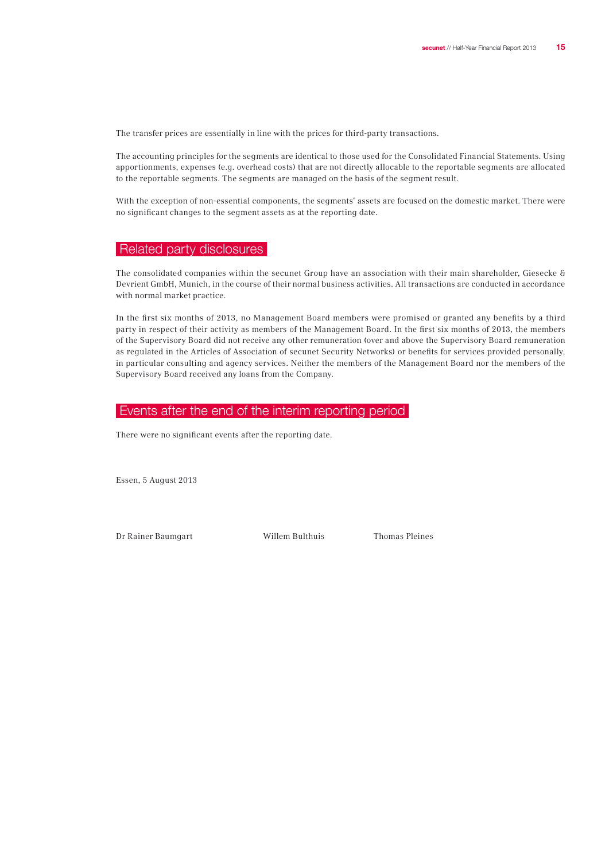The transfer prices are essentially in line with the prices for third-party transactions.

The accounting principles for the segments are identical to those used for the Consolidated Financial Statements. Using apportionments, expenses (e.g. overhead costs) that are not directly allocable to the reportable segments are allocated to the reportable segments. The segments are managed on the basis of the segment result.

With the exception of non-essential components, the segments' assets are focused on the domestic market. There were no significant changes to the segment assets as at the reporting date.

### Related party disclosures

The consolidated companies within the secunet Group have an association with their main shareholder, Giesecke & Devrient GmbH, Munich, in the course of their normal business activities. All transactions are conducted in accordance with normal market practice.

In the first six months of 2013, no Management Board members were promised or granted any benefits by a third party in respect of their activity as members of the Management Board. In the first six months of 2013, the members of the Supervisory Board did not receive any other remuneration (over and above the Supervisory Board remuneration as regulated in the Articles of Association of secunet Security Networks) or benefits for services provided personally, in particular consulting and agency services. Neither the members of the Management Board nor the members of the Supervisory Board received any loans from the Company.

### Events after the end of the interim reporting period

There were no significant events after the reporting date.

Essen, 5 August 2013

Dr Rainer Baumgart Willem Bulthuis Thomas Pleines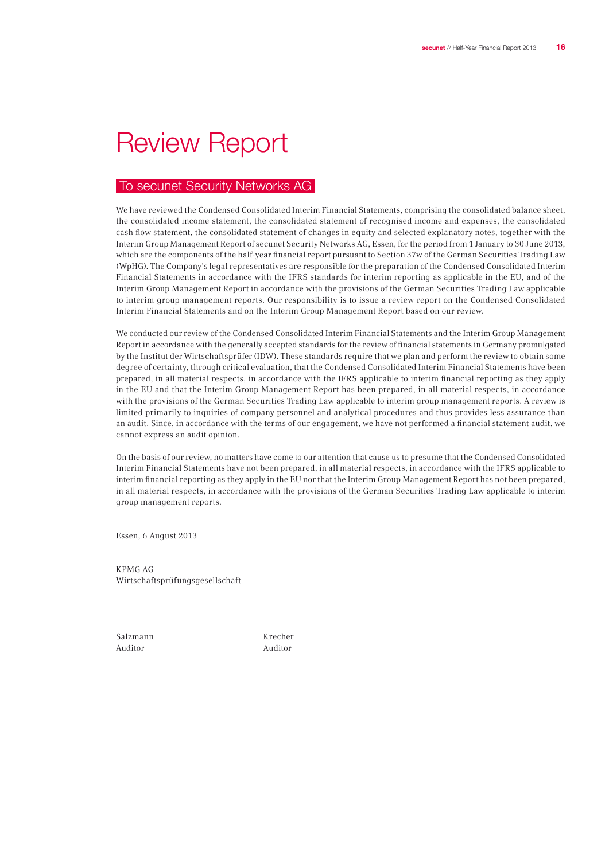## Review Report

## To secunet Security Networks AG

We have reviewed the Condensed Consolidated Interim Financial Statements, comprising the consolidated balance sheet, the consolidated income statement, the consolidated statement of recognised income and expenses, the consolidated cash flow statement, the consolidated statement of changes in equity and selected explanatory notes, together with the Interim Group Management Report of secunet Security Networks AG, Essen, for the period from 1 January to 30 June 2013, which are the components of the half-year financial report pursuant to Section 37w of the German Securities Trading Law (WpHG). The Company's legal representatives are responsible for the preparation of the Condensed Consolidated Interim Financial Statements in accordance with the IFRS standards for interim reporting as applicable in the EU, and of the Interim Group Management Report in accordance with the provisions of the German Securities Trading Law applicable to interim group management reports. Our responsibility is to issue a review report on the Condensed Consolidated Interim Financial Statements and on the Interim Group Management Report based on our review.

We conducted our review of the Condensed Consolidated Interim Financial Statements and the Interim Group Management Report in accordance with the generally accepted standards for the review of financial statements in Germany promulgated by the Institut der Wirtschaftsprüfer (IDW). These standards require that we plan and perform the review to obtain some degree of certainty, through critical evaluation, that the Condensed Consolidated Interim Financial Statements have been prepared, in all material respects, in accordance with the IFRS applicable to interim financial reporting as they apply in the EU and that the Interim Group Management Report has been prepared, in all material respects, in accordance with the provisions of the German Securities Trading Law applicable to interim group management reports. A review is limited primarily to inquiries of company personnel and analytical procedures and thus provides less assurance than an audit. Since, in accordance with the terms of our engagement, we have not performed a financial statement audit, we cannot express an audit opinion.

On the basis of our review, no matters have come to our attention that cause us to presume that the Condensed Consolidated Interim Financial Statements have not been prepared, in all material respects, in accordance with the IFRS applicable to interim financial reporting as they apply in the EU nor that the Interim Group Management Report has not been prepared, in all material respects, in accordance with the provisions of the German Securities Trading Law applicable to interim group management reports.

Essen, 6 August 2013

KPMG AG Wirtschaftsprüfungsgesellschaft

Auditor Auditor

Salzmann Krecher